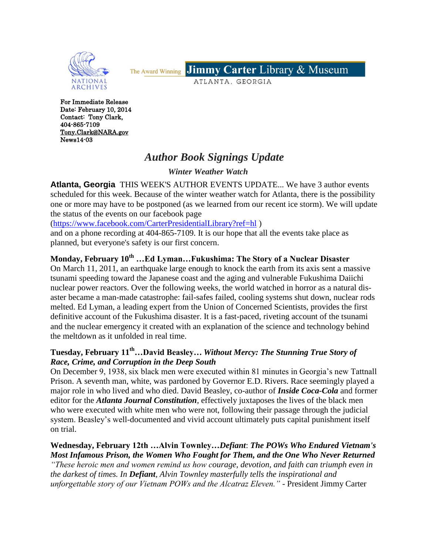

Jimmy Carter Library & Museum The Award Winning

ATLANTA, GEORGIA

For Immediate Release Date: February 10, 2014 Contact: Tony Clark, 404-865-7109 [Tony.Clark@NARA.gov](mailto:Tony.Clark@NARA.gov)  News14-03

## *Author Book Signings Update*

 *Winter Weather Watch*

**Atlanta, Georgia** THIS WEEK'S AUTHOR EVENTS UPDATE... We have 3 author events scheduled for this week. Because of the winter weather watch for Atlanta, there is the possibility one or more may have to be postponed (as we learned from our recent ice storm). We will update the status of the events on our facebook page

[\(https://www.facebook.com/CarterPresidentialLibrary?ref=hl](https://www.facebook.com/CarterPresidentialLibrary?ref=hl) )

and on a phone recording at 404-865-7109. It is our hope that all the events take place as planned, but everyone's safety is our first concern.

## **Monday, February 10th …Ed Lyman…Fukushima: The Story of a Nuclear Disaster**

On March 11, 2011, an earthquake large enough to knock the earth from its axis sent a massive tsunami speeding toward the Japanese coast and the aging and vulnerable Fukushima Daiichi nuclear power reactors. Over the following weeks, the world watched in horror as a natural disaster became a man-made catastrophe: fail-safes failed, cooling systems shut down, nuclear rods melted. Ed Lyman, a leading expert from the Union of Concerned Scientists, provides the first definitive account of the Fukushima disaster. It is a fast-paced, riveting account of the tsunami and the nuclear emergency it created with an explanation of the science and technology behind the meltdown as it unfolded in real time.

## **Tuesday, February 11th…David Beasley…** *Without Mercy: The Stunning True Story of Race, Crime, and Corruption in the Deep South*

On December 9, 1938, six black men were executed within 81 minutes in Georgia's new Tattnall Prison. A seventh man, white, was pardoned by Governor E.D. Rivers. Race seemingly played a major role in who lived and who died. David Beasley, co-author of *Inside Coca-Cola* and former editor for the *Atlanta Journal Constitution*, effectively juxtaposes the lives of the black men who were executed with white men who were not, following their passage through the judicial system. Beasley's well-documented and vivid account ultimately puts capital punishment itself on trial.

## **Wednesday, February 12th …Alvin Townley…***Defiant*: *The POWs Who Endured Vietnam's Most Infamous Prison, the Women Who Fought for Them, and the One Who Never Returned*

*"These heroic men and women remind us how courage, devotion, and faith can triumph even in the darkest of times. In Defiant, Alvin Townley masterfully tells the inspirational and unforgettable story of our Vietnam POWs and the Alcatraz Eleven."* - President Jimmy Carter